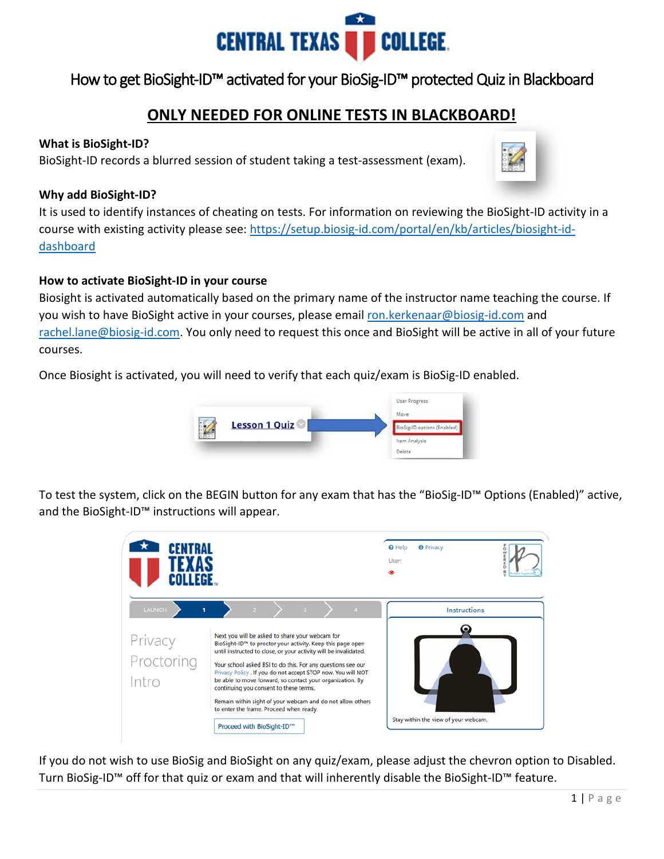

## **CENTRAL TEXAS** COLLEGE.<br>How to get BioSight-ID™ activated for your BioSig-ID™ protected Quiz in Blackboard

## **ONLY NEEDED FOR ONLINE TESTS IN BLACKBOARD!**

### **What is BioSight-ID?**

BioSight-ID records a blurred session of student taking a test-assessment (exam).

### **Why add BioSight-ID?**

It is used to identify instances of cheating on tests. For information on reviewing the BioSight-ID activity in a course with existing activity please see: [https://setup.biosig-id.com/portal/en/kb/articles/biosight-id](https://setup.biosig-id.com/portal/en/kb/articles/biosight-id-dashboard)[dashboard](https://setup.biosig-id.com/portal/en/kb/articles/biosight-id-dashboard)

### **How to activate BioSight-ID in your course**

Biosight is activated automatically based on the primary name of the instructor name teaching the course. If you wish to have BioSight active in your courses, please email [ron.kerkenaar@biosig-id.com](mailto:ron.kerkenaar@biosig-id.com) and [rachel.lane@biosig-id.com.](mailto:rachel.lane@biosig-id.com) You only need to request this once and BioSight will be active in all of your future courses.

Once Biosight is activated, you will need to verify that each quiz/exam is BioSig-ID enabled.



To test the system, click on the BEGIN button for any exam that has the "BioSig-ID™ Options (Enabled)" active, and the BioSight-ID™ instructions will appear.



If you do not wish to use BioSig and BioSight on any quiz/exam, please adjust the chevron option to Disabled. Turn BioSig-ID™ off for that quiz or exam and that will inherently disable the BioSight-ID™ feature.

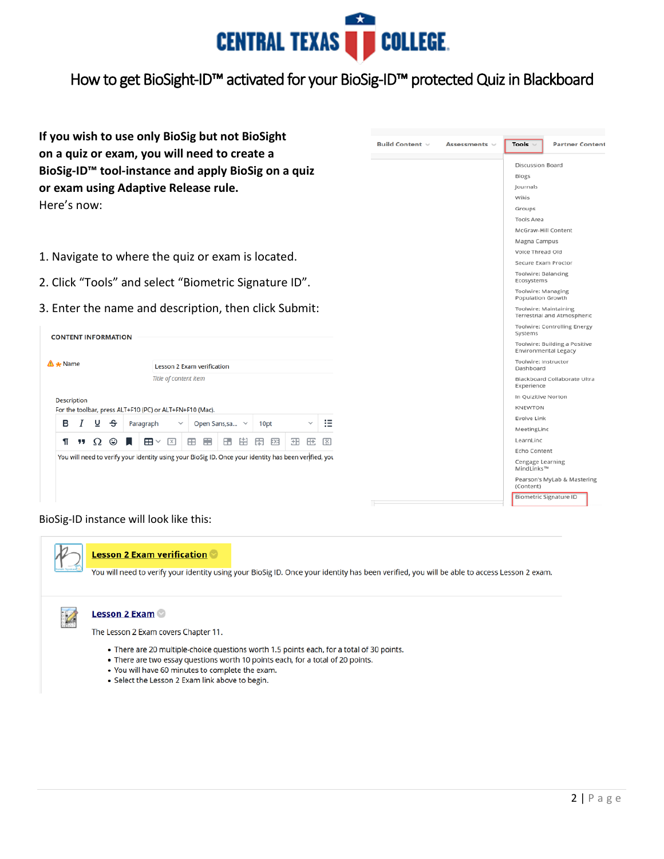

# **CENTRAL TEXAS** ● COLLEGE<br>How to get BioSight-ID™ activated for your BioSig-ID™ protected Quiz in Blackboard

**If you wish to use only BioSig but not BioSight on a quiz or exam, you will need to create a BioSig-ID™ tool-instance and apply BioSig on a quiz or exam using Adaptive Release rule.**  Here's now:

- 1. Navigate to where the quiz or exam is located.
- 2. Click "Tools" and select "Biometric Signature ID".
- 3. Enter the name and description, then click Submit:

| $\mathbf{\Lambda}$ $\mathbf{\star}$ Name |    |             |   |                 | Lesson 2 Exam verification |                  |   |              |                                                                                   |   |                      |     |      |              |                                                                                                       |
|------------------------------------------|----|-------------|---|-----------------|----------------------------|------------------|---|--------------|-----------------------------------------------------------------------------------|---|----------------------|-----|------|--------------|-------------------------------------------------------------------------------------------------------|
|                                          |    |             |   |                 |                            |                  |   |              |                                                                                   |   |                      |     |      |              |                                                                                                       |
|                                          |    |             |   |                 |                            |                  |   |              |                                                                                   |   |                      |     |      |              |                                                                                                       |
| в                                        |    |             |   |                 |                            |                  |   |              |                                                                                   |   |                      |     |      | $\checkmark$ |                                                                                                       |
| ſ                                        | 99 | $\Omega$    | ☺ |                 | ⊞ ∽                        | $\boxed{\times}$ | m | 畺            | H.                                                                                | 中 | 田                    | EX3 | 田    | H÷,          | 閖                                                                                                     |
|                                          |    |             |   |                 |                            |                  |   |              |                                                                                   |   |                      |     |      |              |                                                                                                       |
|                                          |    |             |   |                 |                            |                  |   |              |                                                                                   |   |                      |     |      |              |                                                                                                       |
|                                          |    |             |   |                 |                            |                  |   |              |                                                                                   |   |                      |     |      |              |                                                                                                       |
|                                          |    | Description |   | $I \subseteq S$ | <b>CONTENT INFORMATION</b> | Paragraph        |   | $\checkmark$ | Title of content item<br>For the toolbar, press ALT+F10 (PC) or ALT+FN+F10 (Mac). |   | Open Sans, sa $\vee$ |     | 10pt |              | You will need to verify your identity using your BioSig ID. Once your identity has been verified, you |



#### BioSig-ID instance will look like this:



You will need to verify your identity using your BioSig ID. Once your identity has been verified, you will be able to access Lesson 2 exam.

## $\mathscr{L}$

#### **Lesson 2 Exam**

The Lesson 2 Exam covers Chapter 11.

- There are 20 multiple-choice questions worth 1.5 points each, for a total of 30 points.
- There are two essay questions worth 10 points each, for a total of 20 points.
- . You will have 60 minutes to complete the exam.
- Select the Lesson 2 Exam link above to begin.